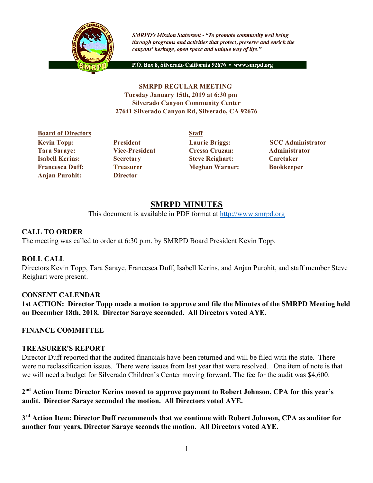

**SMRPD's Mission Statement - "To promote community well being** through programs and activities that protect, preserve and enrich the canyons' heritage, open space and unique way of life."

P.O. Box 8, Silverado California 92676 · www.smrpd.org

#### **SMRPD REGULAR MEETING Tuesday January 15th, 2019 at 6:30 pm Silverado Canyon Community Center 27641 Silverado Canyon Rd, Silverado, CA 92676**

## **Board of Directors Staff Tara Saraye: Vice-President Cressa Cruzan: Administrator Isabell Kerins: Secretary Steve Reighart: Caretaker Francesca Duff: Treasurer Meghan Warner: Bookkeeper Anjan Purohit: Director**

**Kevin Topp:** President Laurie Briggs: SCC Administrator

# **SMRPD MINUTES**

This document is available in PDF format at http://www.smrpd.org

## **CALL TO ORDER**

The meeting was called to order at 6:30 p.m. by SMRPD Board President Kevin Topp.

## **ROLL CALL**

Directors Kevin Topp, Tara Saraye, Francesca Duff, Isabell Kerins, and Anjan Purohit, and staff member Steve Reighart were present.

## **CONSENT CALENDAR**

**1st ACTION: Director Topp made a motion to approve and file the Minutes of the SMRPD Meeting held on December 18th, 2018. Director Saraye seconded. All Directors voted AYE.**

## **FINANCE COMMITTEE**

#### **TREASURER'S REPORT**

Director Duff reported that the audited financials have been returned and will be filed with the state. There were no reclassification issues. There were issues from last year that were resolved. One item of note is that we will need a budget for Silverado Children's Center moving forward. The fee for the audit was \$4,600.

## **2nd Action Item: Director Kerins moved to approve payment to Robert Johnson, CPA for this year's audit. Director Saraye seconded the motion. All Directors voted AYE.**

**3rd Action Item: Director Duff recommends that we continue with Robert Johnson, CPA as auditor for another four years. Director Saraye seconds the motion. All Directors voted AYE.**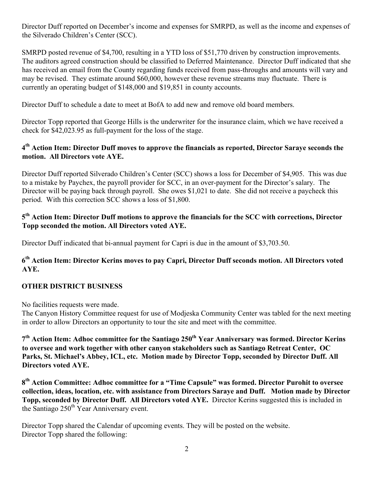Director Duff reported on December's income and expenses for SMRPD, as well as the income and expenses of the Silverado Children's Center (SCC).

SMRPD posted revenue of \$4,700, resulting in a YTD loss of \$51,770 driven by construction improvements. The auditors agreed construction should be classified to Deferred Maintenance. Director Duff indicated that she has received an email from the County regarding funds received from pass-throughs and amounts will vary and may be revised. They estimate around \$60,000, however these revenue streams may fluctuate. There is currently an operating budget of \$148,000 and \$19,851 in county accounts.

Director Duff to schedule a date to meet at BofA to add new and remove old board members.

Director Topp reported that George Hills is the underwriter for the insurance claim, which we have received a check for \$42,023.95 as full-payment for the loss of the stage.

## **4th Action Item: Director Duff moves to approve the financials as reported, Director Saraye seconds the motion. All Directors vote AYE.**

Director Duff reported Silverado Children's Center (SCC) shows a loss for December of \$4,905. This was due to a mistake by Paychex, the payroll provider for SCC, in an over-payment for the Director's salary. The Director will be paying back through payroll. She owes \$1,021 to date. She did not receive a paycheck this period. With this correction SCC shows a loss of \$1,800.

#### **5th Action Item: Director Duff motions to approve the financials for the SCC with corrections, Director Topp seconded the motion. All Directors voted AYE.**

Director Duff indicated that bi-annual payment for Capri is due in the amount of \$3,703.50.

## **6th Action Item: Director Kerins moves to pay Capri, Director Duff seconds motion. All Directors voted AYE.**

## **OTHER DISTRICT BUSINESS**

No facilities requests were made.

The Canyon History Committee request for use of Modjeska Community Center was tabled for the next meeting in order to allow Directors an opportunity to tour the site and meet with the committee.

7<sup>th</sup> Action Item: Adhoc committee for the Santiago 250<sup>th</sup> Year Anniversary was formed. Director Kerins **to oversee and work together with other canyon stakeholders such as Santiago Retreat Center, OC Parks, St. Michael's Abbey, ICL, etc. Motion made by Director Topp, seconded by Director Duff. All Directors voted AYE.**

**8th Action Committee: Adhoc committee for a "Time Capsule" was formed. Director Purohit to oversee collection, ideas, location, etc. with assistance from Directors Saraye and Duff. Motion made by Director Topp, seconded by Director Duff. All Directors voted AYE.** Director Kerins suggested this is included in the Santiago 250<sup>th</sup> Year Anniversary event.

Director Topp shared the Calendar of upcoming events. They will be posted on the website. Director Topp shared the following: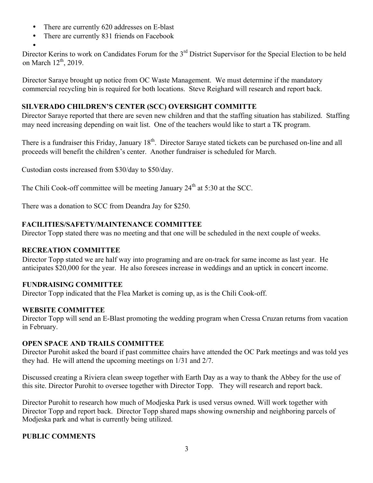- There are currently 620 addresses on E-blast
- There are currently 831 friends on Facebook

• Director Kerins to work on Candidates Forum for the 3<sup>rd</sup> District Supervisor for the Special Election to be held on March 12<sup>th</sup>, 2019.

Director Saraye brought up notice from OC Waste Management. We must determine if the mandatory commercial recycling bin is required for both locations. Steve Reighard will research and report back.

## **SILVERADO CHILDREN'S CENTER (SCC) OVERSIGHT COMMITTE**

Director Saraye reported that there are seven new children and that the staffing situation has stabilized. Staffing may need increasing depending on wait list. One of the teachers would like to start a TK program.

There is a fundraiser this Friday, January 18<sup>th</sup>. Director Saraye stated tickets can be purchased on-line and all proceeds will benefit the children's center. Another fundraiser is scheduled for March.

Custodian costs increased from \$30/day to \$50/day.

The Chili Cook-off committee will be meeting January  $24<sup>th</sup>$  at 5:30 at the SCC.

There was a donation to SCC from Deandra Jay for \$250.

## **FACILITIES/SAFETY/MAINTENANCE COMMITTEE**

Director Topp stated there was no meeting and that one will be scheduled in the next couple of weeks.

## **RECREATION COMMITTEE**

Director Topp stated we are half way into programing and are on-track for same income as last year. He anticipates \$20,000 for the year. He also foresees increase in weddings and an uptick in concert income.

## **FUNDRAISING COMMITTEE**

Director Topp indicated that the Flea Market is coming up, as is the Chili Cook-off.

## **WEBSITE COMMITTEE**

Director Topp will send an E-Blast promoting the wedding program when Cressa Cruzan returns from vacation in February.

## **OPEN SPACE AND TRAILS COMMITTEE**

Director Purohit asked the board if past committee chairs have attended the OC Park meetings and was told yes they had. He will attend the upcoming meetings on 1/31 and 2/7.

Discussed creating a Riviera clean sweep together with Earth Day as a way to thank the Abbey for the use of this site. Director Purohit to oversee together with Director Topp. They will research and report back.

Director Purohit to research how much of Modjeska Park is used versus owned. Will work together with Director Topp and report back. Director Topp shared maps showing ownership and neighboring parcels of Modjeska park and what is currently being utilized.

## **PUBLIC COMMENTS**